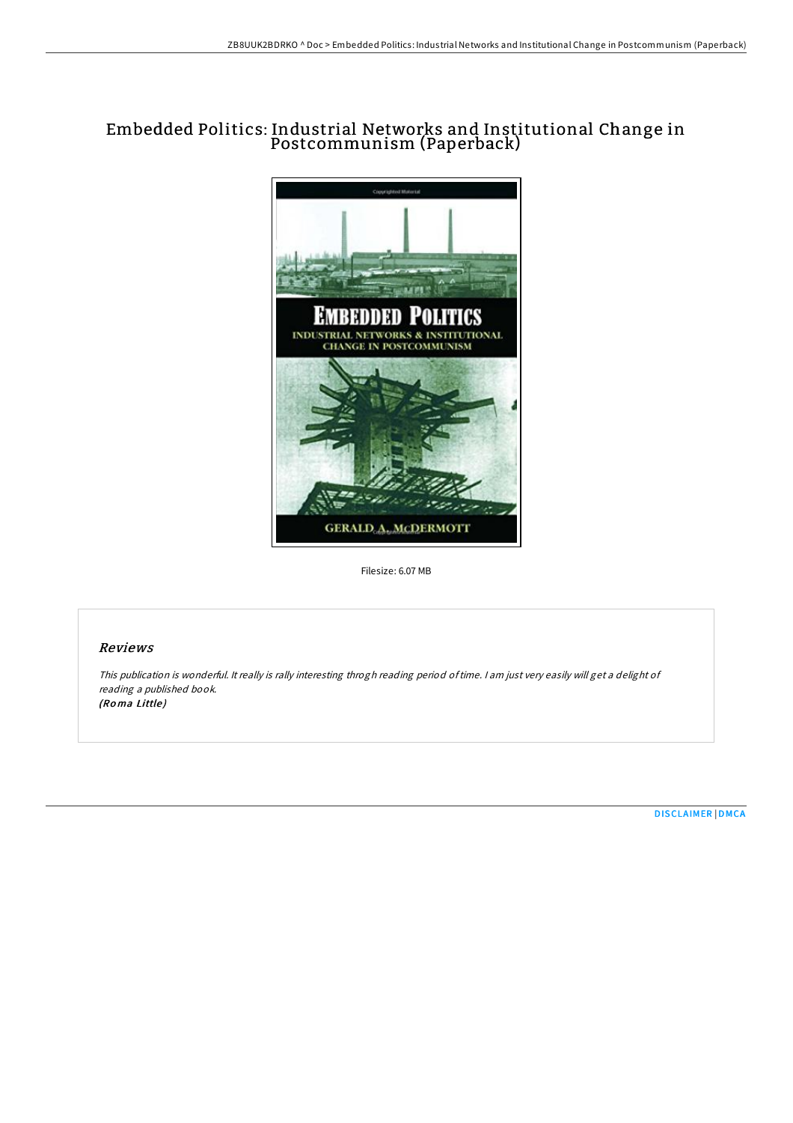# Embedded Politics: Industrial Networks and Institutional Change in Postcommunism (Paperback)



Filesize: 6.07 MB

## Reviews

This publication is wonderful. It really is rally interesting throgh reading period oftime. <sup>I</sup> am just very easily will get <sup>a</sup> delight of reading <sup>a</sup> published book. (Roma Little)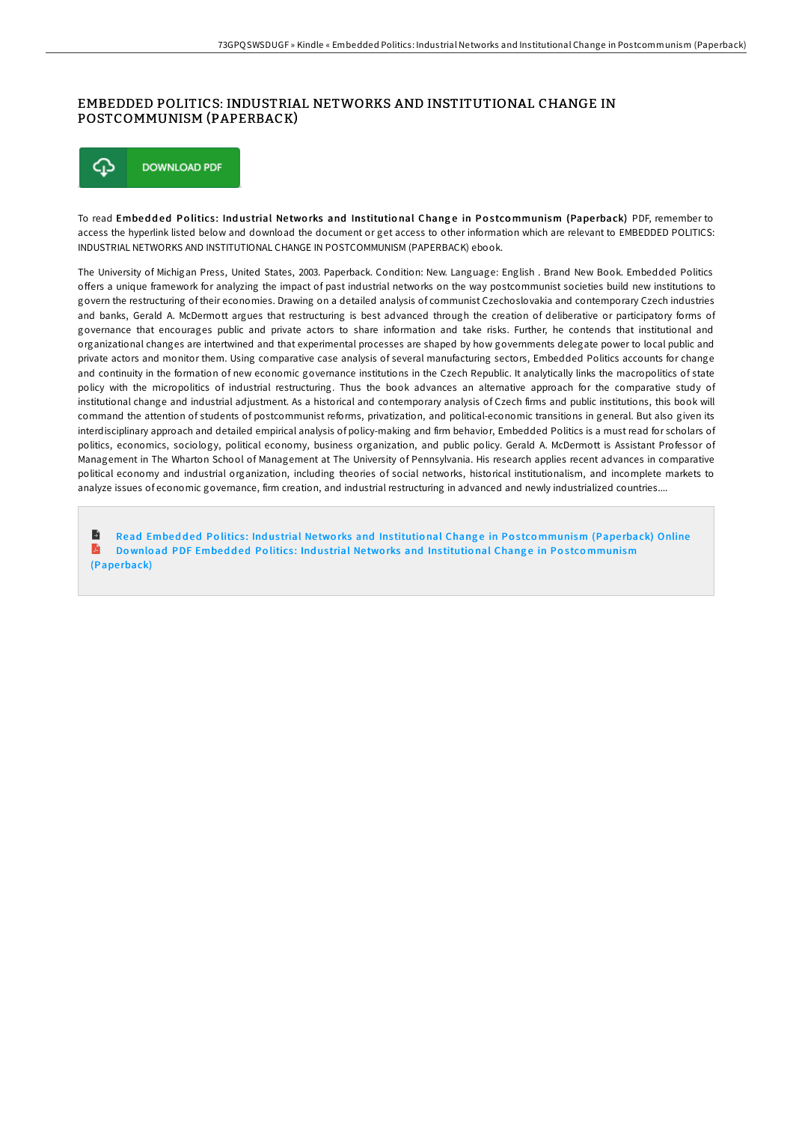### EMBEDDED POLITICS: INDUSTRIAL NETWORKS AND INSTITUTIONAL CHANGE IN POSTCOMMUNISM (PAPERBACK)



To read Embedded Politics: Industrial Networks and Institutional Change in Postcommunism (Paperback) PDF, remember to access the hyperlink listed below and download the document or get access to other information which are relevant to EMBEDDED POLITICS: INDUSTRIAL NETWORKS AND INSTITUTIONAL CHANGE IN POSTCOMMUNISM (PAPERBACK) ebook.

The University of Michigan Press, United States, 2003. Paperback. Condition: New. Language: English . Brand New Book. Embedded Politics offers a unique framework for analyzing the impact of past industrial networks on the way postcommunist societies build new institutions to govern the restructuring of their economies. Drawing on a detailed analysis of communist Czechoslovakia and contemporary Czech industries and banks, Gerald A. McDermott argues that restructuring is best advanced through the creation of deliberative or participatory forms of governance that encourages public and private actors to share information and take risks. Further, he contends that institutional and organizational changes are intertwined and that experimental processes are shaped by how governments delegate power to local public and private actors and monitor them. Using comparative case analysis of several manufacturing sectors, Embedded Politics accounts for change and continuity in the formation of new economic governance institutions in the Czech Republic. It analytically links the macropolitics of state policy with the micropolitics of industrial restructuring. Thus the book advances an alternative approach for the comparative study of institutional change and industrial adjustment. As a historical and contemporary analysis of Czech firms and public institutions, this book will command the attention of students of postcommunist reforms, privatization, and political-economic transitions in general. But also given its interdisciplinary approach and detailed empirical analysis of policy-making and firm behavior, Embedded Politics is a must read for scholars of politics, economics, sociology, political economy, business organization, and public policy. Gerald A. McDermott is Assistant Professor of Management in The Wharton School of Management at The University of Pennsylvania. His research applies recent advances in comparative political economy and industrial organization, including theories of social networks, historical institutionalism, and incomplete markets to analyze issues of economic governance, firm creation, and industrial restructuring in advanced and newly industrialized countries....

Read Embedded Politics: Industrial Networks and Institutional Change in Postco[mmunism](http://almighty24.tech/embedded-politics-industrial-networks-and-instit.html) (Paperback) Online R Do wnload PDF Embedded Politics: Industrial Networks and Institutional Change in Postco[mmunism](http://almighty24.tech/embedded-politics-industrial-networks-and-instit.html) (Pape rback)